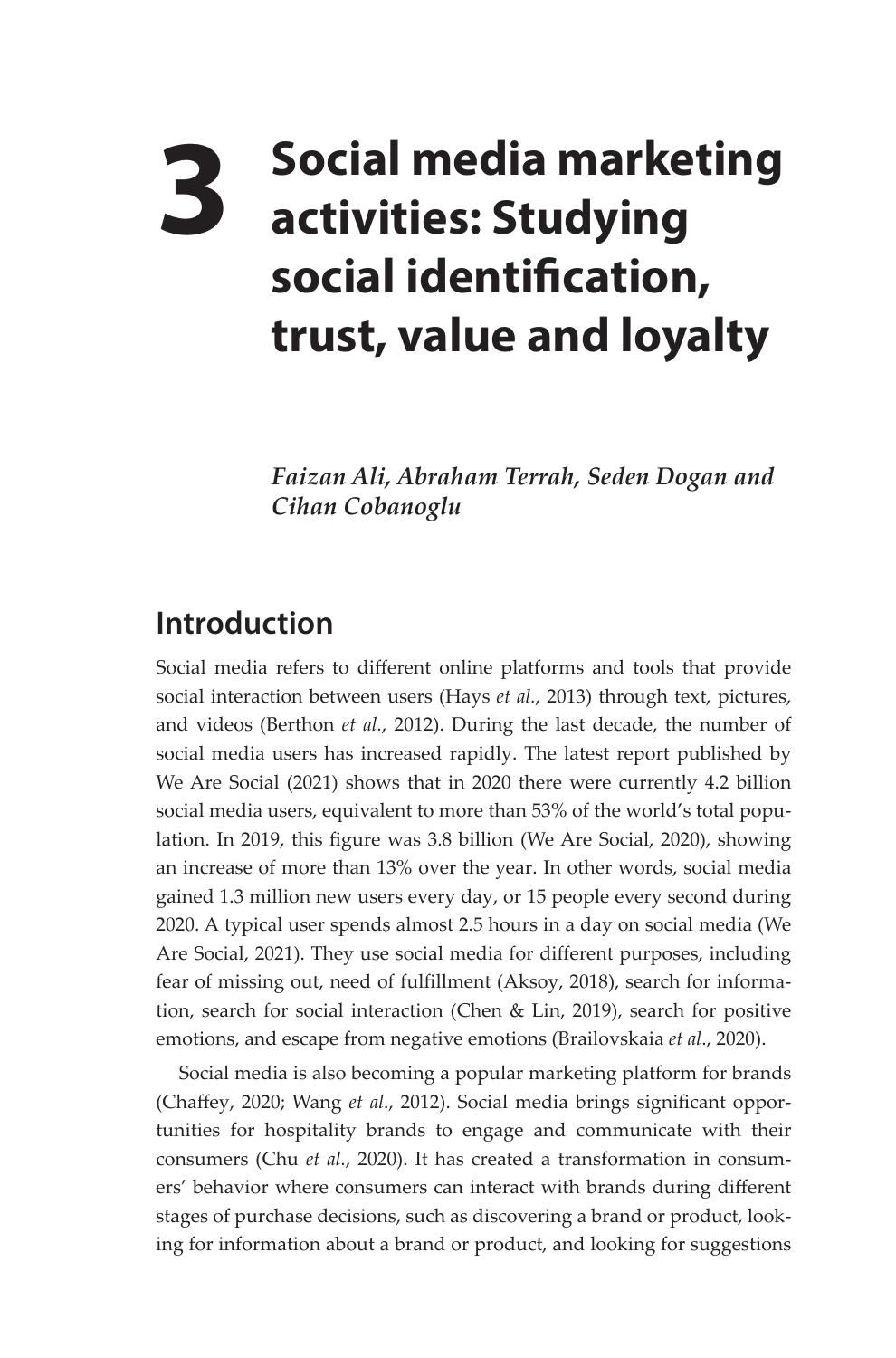# **3 Social media marketing activities: Studying social identification, trust, value and loyalty**

*Faizan Ali, Abraham Terrah, Seden Dogan and Cihan Cobanoglu*

## **Introduction**

Social media refers to different online platforms and tools that provide social interaction between users (Hays *et al.*, 2013) through text, pictures, and videos (Berthon *et al.*, 2012). During the last decade, the number of social media users has increased rapidly. The latest report published by We Are Social (2021) shows that in 2020 there were currently 4.2 billion social media users, equivalent to more than 53% of the world's total population. In 2019, this figure was 3.8 billion (We Are Social, 2020), showing an increase of more than 13% over the year. In other words, social media gained 1.3 million new users every day, or 15 people every second during 2020. A typical user spends almost 2.5 hours in a day on social media (We Are Social, 2021). They use social media for different purposes, including fear of missing out, need of fulfillment (Aksoy, 2018), search for information, search for social interaction (Chen & Lin, 2019), search for positive emotions, and escape from negative emotions (Brailovskaia *et al*., 2020).

Social media is also becoming a popular marketing platform for brands (Chaffey, 2020; Wang *et al*., 2012). Social media brings significant opportunities for hospitality brands to engage and communicate with their consumers (Chu *et al.*, 2020). It has created a transformation in consumers' behavior where consumers can interact with brands during different stages of purchase decisions, such as discovering a brand or product, looking for information about a brand or product, and looking for suggestions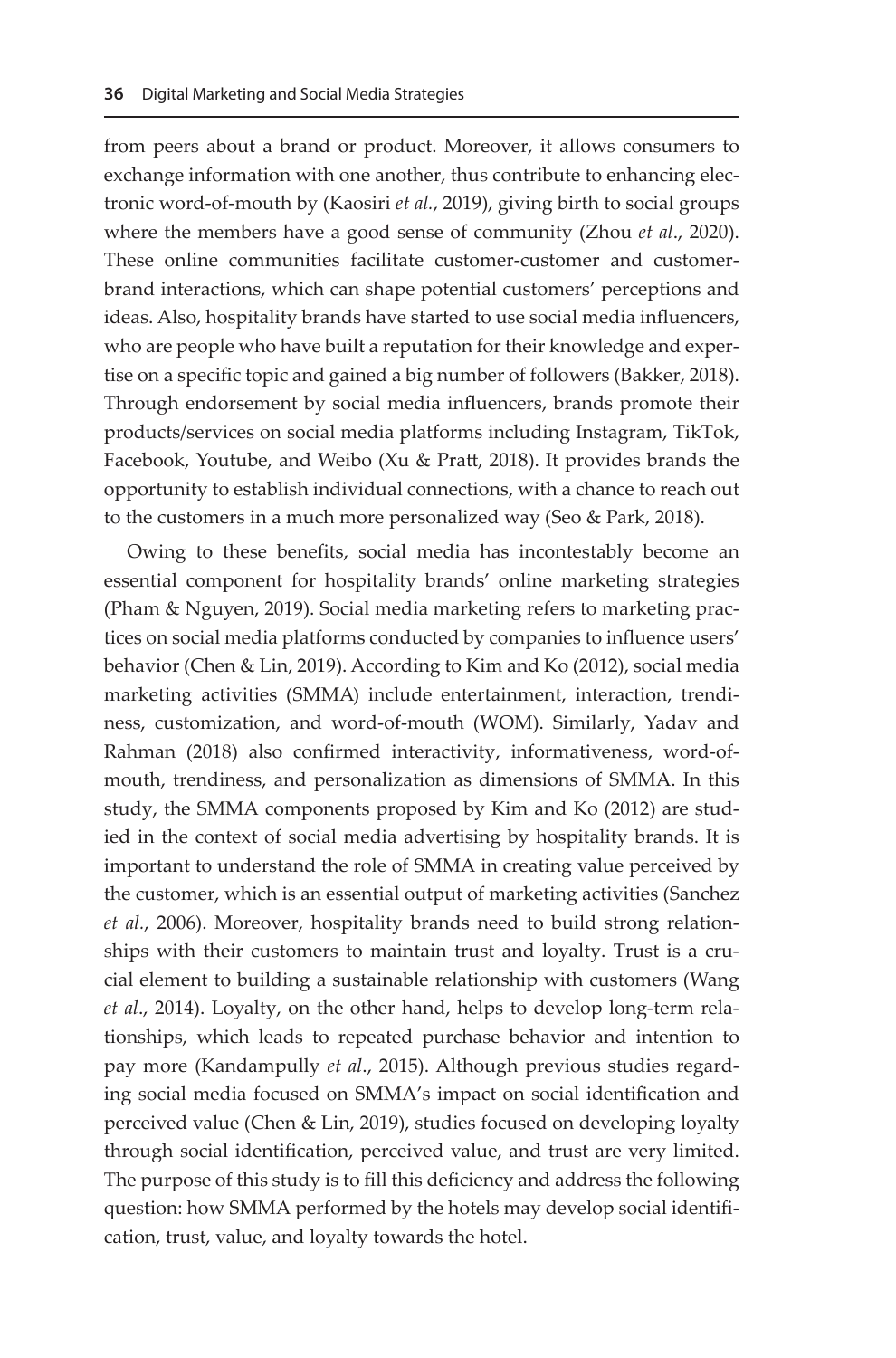from peers about a brand or product. Moreover, it allows consumers to exchange information with one another, thus contribute to enhancing electronic word-of-mouth by (Kaosiri *et al.*, 2019), giving birth to social groups where the members have a good sense of community (Zhou *et al*., 2020). These online communities facilitate customer-customer and customerbrand interactions, which can shape potential customers' perceptions and ideas. Also, hospitality brands have started to use social media influencers, who are people who have built a reputation for their knowledge and expertise on a specific topic and gained a big number of followers (Bakker, 2018). Through endorsement by social media influencers, brands promote their products/services on social media platforms including Instagram, TikTok, Facebook, Youtube, and Weibo (Xu & Pratt, 2018). It provides brands the opportunity to establish individual connections, with a chance to reach out to the customers in a much more personalized way (Seo & Park, 2018).

Owing to these benefits, social media has incontestably become an essential component for hospitality brands' online marketing strategies (Pham & Nguyen, 2019). Social media marketing refers to marketing practices on social media platforms conducted by companies to influence users' behavior (Chen & Lin, 2019). According to Kim and Ko (2012), social media marketing activities (SMMA) include entertainment, interaction, trendiness, customization, and word-of-mouth (WOM). Similarly, Yadav and Rahman (2018) also confirmed interactivity, informativeness, word-ofmouth, trendiness, and personalization as dimensions of SMMA. In this study, the SMMA components proposed by Kim and Ko (2012) are studied in the context of social media advertising by hospitality brands. It is important to understand the role of SMMA in creating value perceived by the customer, which is an essential output of marketing activities (Sanchez *et al.*, 2006). Moreover, hospitality brands need to build strong relationships with their customers to maintain trust and loyalty. Trust is a crucial element to building a sustainable relationship with customers (Wang *et al*., 2014). Loyalty, on the other hand, helps to develop long-term relationships, which leads to repeated purchase behavior and intention to pay more (Kandampully *et al*., 2015). Although previous studies regarding social media focused on SMMA's impact on social identification and perceived value (Chen & Lin, 2019), studies focused on developing loyalty through social identification, perceived value, and trust are very limited. The purpose of this study is to fill this deficiency and address the following question: how SMMA performed by the hotels may develop social identification, trust, value, and loyalty towards the hotel.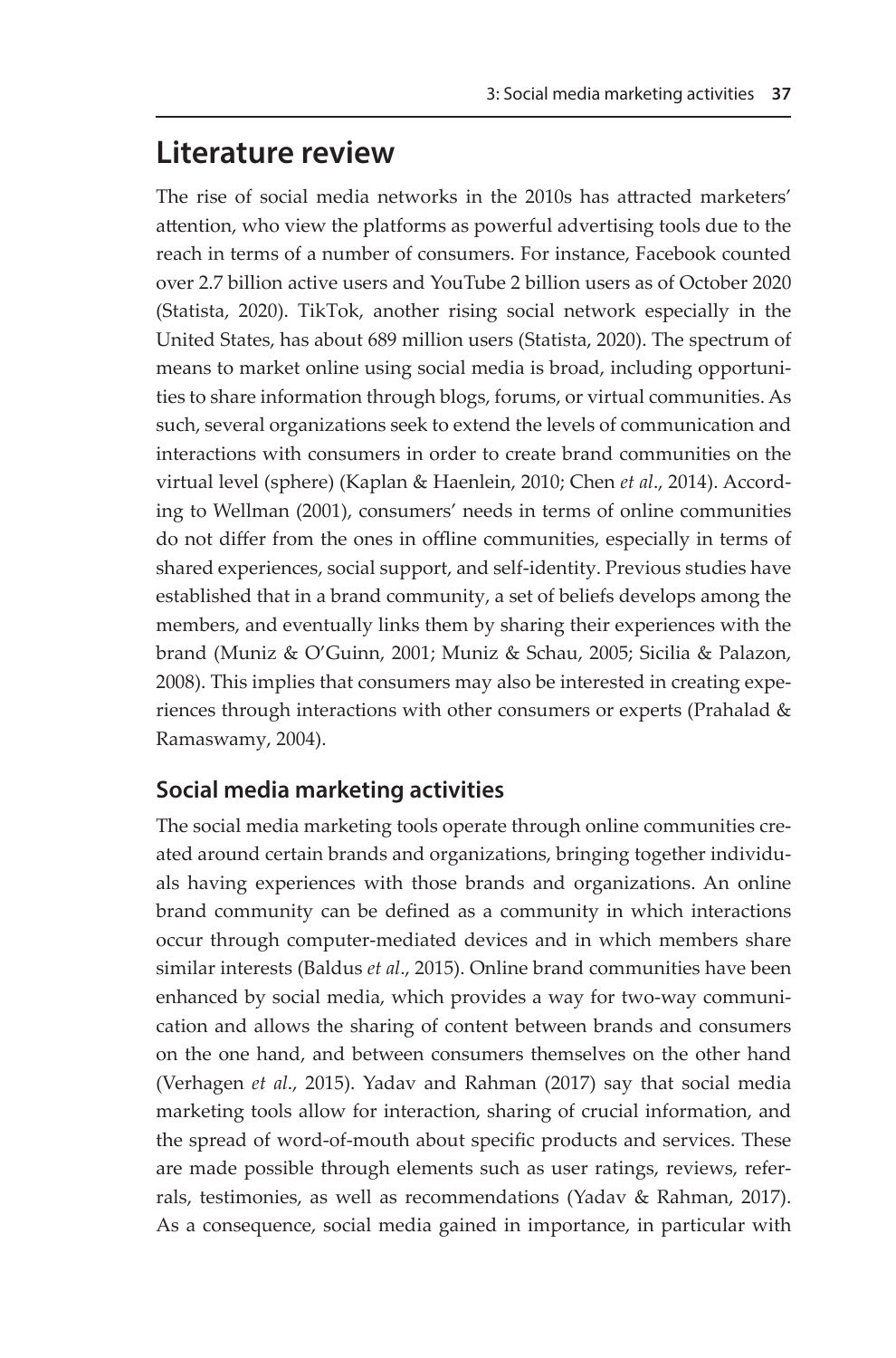## **Literature review**

The rise of social media networks in the 2010s has attracted marketers' attention, who view the platforms as powerful advertising tools due to the reach in terms of a number of consumers. For instance, Facebook counted over 2.7 billion active users and YouTube 2 billion users as of October 2020 (Statista, 2020). TikTok, another rising social network especially in the United States, has about 689 million users (Statista, 2020). The spectrum of means to market online using social media is broad, including opportunities to share information through blogs, forums, or virtual communities. As such, several organizations seek to extend the levels of communication and interactions with consumers in order to create brand communities on the virtual level (sphere) (Kaplan & Haenlein, 2010; Chen *et al*., 2014). According to Wellman (2001), consumers' needs in terms of online communities do not differ from the ones in offline communities, especially in terms of shared experiences, social support, and self-identity. Previous studies have established that in a brand community, a set of beliefs develops among the members, and eventually links them by sharing their experiences with the brand (Muniz & O'Guinn, 2001; Muniz & Schau, 2005; Sicilia & Palazon, 2008). This implies that consumers may also be interested in creating experiences through interactions with other consumers or experts (Prahalad & Ramaswamy, 2004).

#### **Social media marketing activities**

The social media marketing tools operate through online communities created around certain brands and organizations, bringing together individuals having experiences with those brands and organizations. An online brand community can be defined as a community in which interactions occur through computer-mediated devices and in which members share similar interests (Baldus *et al*., 2015). Online brand communities have been enhanced by social media, which provides a way for two-way communication and allows the sharing of content between brands and consumers on the one hand, and between consumers themselves on the other hand (Verhagen *et al*., 2015). Yadav and Rahman (2017) say that social media marketing tools allow for interaction, sharing of crucial information, and the spread of word-of-mouth about specific products and services. These are made possible through elements such as user ratings, reviews, referrals, testimonies, as well as recommendations (Yadav & Rahman, 2017). As a consequence, social media gained in importance, in particular with